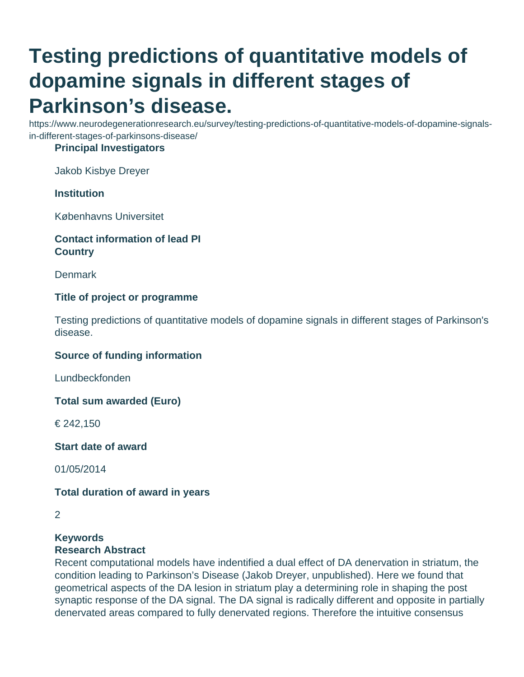# **Testing predictions of quantitative models of dopamine signals in different stages of Parkinson's disease.**

https://www.neurodegenerationresearch.eu/survey/testing-predictions-of-quantitative-models-of-dopamine-signalsin-different-stages-of-parkinsons-disease/

### **Principal Investigators**

Jakob Kisbye Dreyer

## **Institution**

Københavns Universitet

## **Contact information of lead PI Country**

**Denmark** 

## **Title of project or programme**

Testing predictions of quantitative models of dopamine signals in different stages of Parkinson's disease.

#### **Source of funding information**

Lundbeckfonden

**Total sum awarded (Euro)**

€ 242,150

**Start date of award**

01/05/2014

#### **Total duration of award in years**

#### **Keywords**

#### **Research Abstract**

Recent computational models have indentified a dual effect of DA denervation in striatum, the condition leading to Parkinson's Disease (Jakob Dreyer, unpublished). Here we found that geometrical aspects of the DA lesion in striatum play a determining role in shaping the post synaptic response of the DA signal. The DA signal is radically different and opposite in partially denervated areas compared to fully denervated regions. Therefore the intuitive consensus

<sup>2</sup>